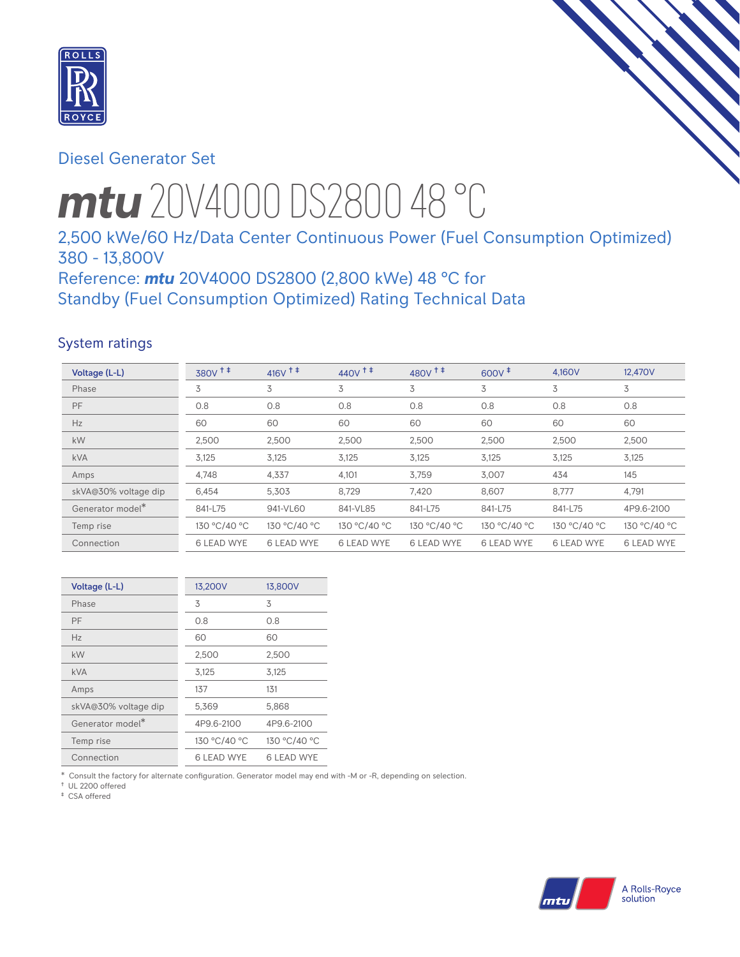

# Diesel Generator Set

# *mtu* 20V4000 DS2800 48 °C

# 2,500 kWe/60 Hz/Data Center Continuous Power (Fuel Consumption Optimized) 380 - 13,800V

Reference: *mtu* 20V4000 DS2800 (2,800 kWe) 48 °C for Standby (Fuel Consumption Optimized) Rating Technical Data

## System ratings

| Voltage (L-L)                | $380V$ <sup>++</sup> | $416V$ <sup>++</sup> | $440V$ <sup>++</sup> | 480V <sup>+</sup> | $600V^{\ddagger}$ | 4,160V            | 12,470V           |
|------------------------------|----------------------|----------------------|----------------------|-------------------|-------------------|-------------------|-------------------|
| Phase                        | 3                    | 3                    | 3                    | 3                 | 3                 | 3                 | 3                 |
| PF                           | 0.8                  | 0.8                  | 0.8                  | 0.8               | 0.8               | 0.8               | 0.8               |
| Hz                           | 60                   | 60                   | 60                   | 60                | 60                | 60                | 60                |
| kW                           | 2,500                | 2,500                | 2,500                | 2,500             | 2,500             | 2,500             | 2,500             |
| <b>kVA</b>                   | 3,125                | 3,125                | 3,125                | 3,125             | 3,125             | 3,125             | 3,125             |
| Amps                         | 4,748                | 4,337                | 4,101                | 3,759             | 3,007             | 434               | 145               |
| skVA@30% voltage dip         | 6,454                | 5,303                | 8,729                | 7,420             | 8,607             | 8,777             | 4,791             |
| Generator model <sup>*</sup> | 841-L75              | 941-VL60             | 841-VL85             | 841-L75           | 841-L75           | 841-L75           | 4P9.6-2100        |
| Temp rise                    | 130 °C/40 °C         | 130 °C/40 °C         | 130 °C/40 °C         | 130 °C/40 °C      | 130 °C/40 °C      | 130 °C/40 °C      | 130 °C/40 °C      |
| Connection                   | <b>6 LEAD WYE</b>    | <b>6 LEAD WYE</b>    | <b>6 LEAD WYE</b>    | <b>6 LEAD WYE</b> | <b>6 LEAD WYE</b> | <b>6 LEAD WYE</b> | <b>6 LEAD WYE</b> |

| Voltage (L-L)        | 13,200V           | 13,800V      |
|----------------------|-------------------|--------------|
| Phase                | 3                 | 3            |
| PF                   | 0.8               | 0.8          |
| Hz                   | 60                | 60           |
| kW                   | 2,500             | 2,500        |
| <b>kVA</b>           | 3,125             | 3,125        |
| Amps                 | 137               | 131          |
| skVA@30% voltage dip | 5,369             | 5,868        |
| Generator model*     | 4P9.6-2100        | 4P9.6-2100   |
| Temp rise            | 130 °C/40 °C      | 130 °C/40 °C |
| Connection           | <b>6 LEAD WYE</b> | 6 I FAD WYF  |

\* Consult the factory for alternate configuration. Generator model may end with -M or -R, depending on selection.

† UL 2200 offered

‡ CSA offered

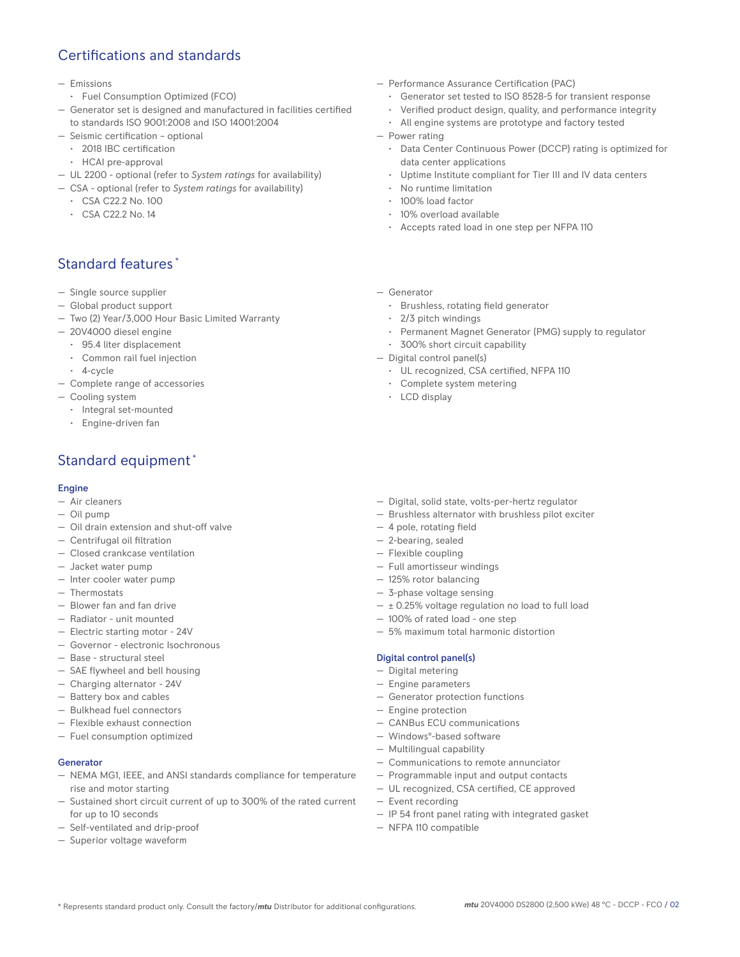# Certifications and standards

- Emissions
- Fuel Consumption Optimized (FCO)
- Generator set is designed and manufactured in facilities certified to standards ISO 9001:2008 and ISO 14001:2004
- Seismic certification optional
- 2018 IBC certification
- HCAI pre-approval
- UL 2200 optional (refer to *System ratings* for availability)
- CSA optional (refer to *System ratings* for availability)
	- CSA C22.2 No. 100
	- CSA C22.2 No. 14

# Standard features \*

- Single source supplier
- Global product support
- Two (2) Year/3,000 Hour Basic Limited Warranty
- 20V4000 diesel engine
	- 95.4 liter displacement
	- Common rail fuel injection
	- 4-cycle
- Complete range of accessories
- Cooling system
	- Integral set-mounted
	- Engine-driven fan

# Standard equipment \*

### Engine

- Air cleaners
- Oil pump
- Oil drain extension and shut-off valve
- Centrifugal oil filtration
- Closed crankcase ventilation
- Jacket water pump
- Inter cooler water pump
- Thermostats
- Blower fan and fan drive
- Radiator unit mounted
- Electric starting motor 24V
- Governor electronic Isochronous
- Base structural steel
- SAE flywheel and bell housing
- Charging alternator 24V
- Battery box and cables
- Bulkhead fuel connectors
- Flexible exhaust connection
- Fuel consumption optimized

#### Generator

- NEMA MG1, IEEE, and ANSI standards compliance for temperature rise and motor starting
- Sustained short circuit current of up to 300% of the rated current for up to 10 seconds
- Self-ventilated and drip-proof
- Superior voltage waveform
- Performance Assurance Certification (PAC)
	- Generator set tested to ISO 8528-5 for transient response
	- Verified product design, quality, and performance integrity
	- All engine systems are prototype and factory tested
- Power rating
	- Data Center Continuous Power (DCCP) rating is optimized for data center applications
	- Uptime Institute compliant for Tier III and IV data centers
	- No runtime limitation
	- 100% load factor
	- 10% overload available
	- Accepts rated load in one step per NFPA 110
- Generator
	- Brushless, rotating field generator
	- 2/3 pitch windings
	- Permanent Magnet Generator (PMG) supply to regulator
	- 300% short circuit capability
- Digital control panel(s)
	- UL recognized, CSA certified, NFPA 110
	- Complete system metering
	- LCD display
- Digital, solid state, volts-per-hertz regulator
- Brushless alternator with brushless pilot exciter
- 4 pole, rotating field
- 2-bearing, sealed
- Flexible coupling
- Full amortisseur windings
- 125% rotor balancing
- 3-phase voltage sensing
- $\pm$  0.25% voltage regulation no load to full load
- 100% of rated load one step
- 5% maximum total harmonic distortion

#### Digital control panel(s)

- Digital metering
- Engine parameters
- Generator protection functions
- Engine protection
- CANBus ECU communications
- Windows®-based software
- Multilingual capability
- Communications to remote annunciator
- Programmable input and output contacts
- UL recognized, CSA certified, CE approved
- Event recording
- IP 54 front panel rating with integrated gasket
- NFPA 110 compatible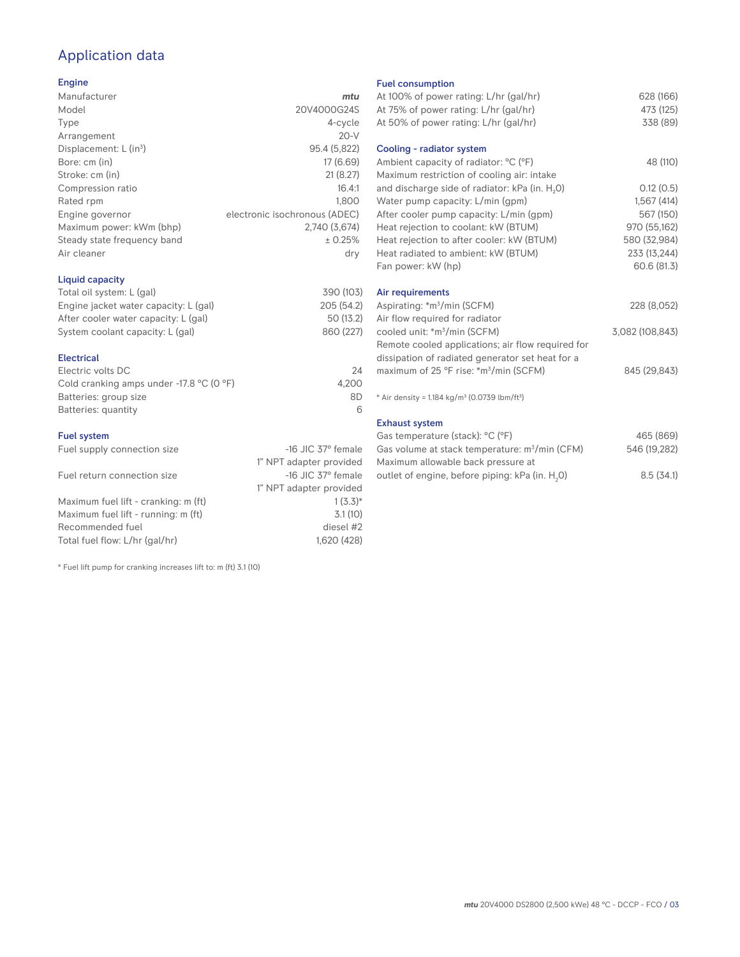# Application data

## Engine

| Manufacturer                         | mtu                           |
|--------------------------------------|-------------------------------|
| Model                                | 20V4000G24S                   |
| Type                                 | 4-cycle                       |
| Arrangement                          | $20-V$                        |
| Displacement: $L$ (in <sup>3</sup> ) | 95.4 (5,822)                  |
| Bore: cm (in)                        | 17 (6.69)                     |
| Stroke: cm (in)                      | 21(8.27)                      |
| Compression ratio                    | 16.4:1                        |
| Rated rpm                            | 1.800                         |
| Engine governor                      | electronic isochronous (ADEC) |
| Maximum power: kWm (bhp)             | 2,740 (3,674)                 |
| Steady state frequency band          | ± 0.25%                       |
| Air cleaner                          | dry                           |
|                                      |                               |

## Liquid capacity

| Total oil system: L (gal)             | 390 (103)  |
|---------------------------------------|------------|
| Engine jacket water capacity: L (gal) | 205 (54.2) |
| After cooler water capacity: L (gal)  | 50 (13.2)  |
| System coolant capacity: L (gal)      | 860 (227)  |
|                                       |            |

## Electrical

| Electric volts DC                                            | 24    |
|--------------------------------------------------------------|-------|
| Cold cranking amps under -17.8 $^{\circ}$ C (O $^{\circ}$ F) | 4.200 |
| Batteries: group size                                        | 8D    |
| Batteries: quantity                                          |       |

## Fuel system

| Fuel supply connection size          | $-16$ JIC 37 $\degree$ female |
|--------------------------------------|-------------------------------|
|                                      | 1" NPT adapter provided       |
| Fuel return connection size          | $-16$ JIC 37 $\degree$ female |
|                                      | 1" NPT adapter provided       |
| Maximum fuel lift - cranking: m (ft) | $1(3.3)*$                     |
| Maximum fuel lift - running: m (ft)  | 3.1(10)                       |
| Recommended fuel                     | diesel #2                     |
| Total fuel flow: L/hr (gal/hr)       | 1,620 (428)                   |

\* Fuel lift pump for cranking increases lift to: m (ft) 3.1 (10)

### Fuel consumption

| At 100% of power rating: L/hr (gal/hr)                               | 628 (166)       |
|----------------------------------------------------------------------|-----------------|
| At 75% of power rating: L/hr (gal/hr)                                | 473 (125)       |
| At 50% of power rating: L/hr (gal/hr)                                | 338 (89)        |
| Cooling - radiator system                                            |                 |
| Ambient capacity of radiator: °C (°F)                                | 48 (110)        |
| Maximum restriction of cooling air: intake                           |                 |
| and discharge side of radiator: kPa (in. H <sub>2</sub> O)           | 0.12(0.5)       |
| Water pump capacity: L/min (gpm)                                     | 1,567(414)      |
| After cooler pump capacity: L/min (gpm)                              | 567 (150)       |
| Heat rejection to coolant: kW (BTUM)                                 | 970 (55,162)    |
| Heat rejection to after cooler: kW (BTUM)                            | 580 (32,984)    |
| Heat radiated to ambient: kW (BTUM)                                  | 233 (13,244)    |
| Fan power: kW (hp)                                                   | 60.6 (81.3)     |
| Air requirements                                                     |                 |
| Aspirating: *m <sup>3</sup> /min (SCFM)                              | 228 (8,052)     |
| Air flow required for radiator                                       |                 |
| cooled unit: *m <sup>3</sup> /min (SCFM)                             | 3,082 (108,843) |
| Remote cooled applications; air flow required for                    |                 |
| dissipation of radiated generator set heat for a                     |                 |
| maximum of 25 °F rise: *m <sup>3</sup> /min (SCFM)                   | 845 (29,843)    |
| * Air density = $1.184 \text{ kg/m}^3$ (0.0739 lbm/ft <sup>3</sup> ) |                 |
| <b>Exhaust system</b>                                                |                 |
| Gas temperature (stack): °C (°F)                                     | 465 (869)       |
| Gas volume at stack temperature: m <sup>3</sup> /min (CFM)           | 546 (19,282)    |

| Gas volume at stack temperature: m <sup>3</sup> /min (CFM)  | 546 (19,282) |
|-------------------------------------------------------------|--------------|
| Maximum allowable back pressure at                          |              |
| outlet of engine, before piping: kPa (in. H <sub>2</sub> O) | 8.5(34.1)    |